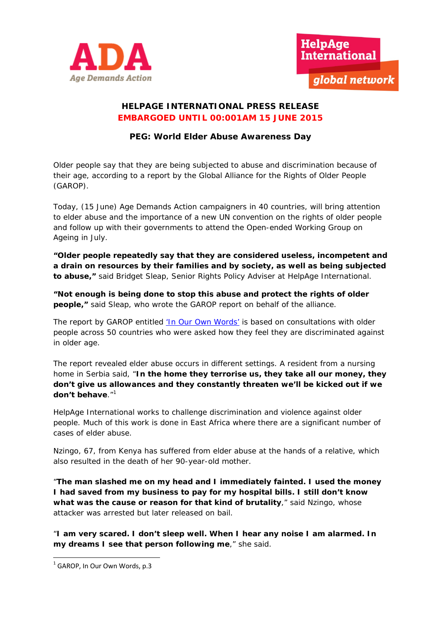



## **HELPAGE INTERNATIONAL PRESS RELEASE EMBARGOED UNTIL 00:001AM 15 JUNE 2015**

# **PEG: World Elder Abuse Awareness Day**

Older people say that they are being subjected to abuse and discrimination because of their age, according to a report by the Global Alliance for the Rights of Older People (GAROP).

Today, (15 June) Age Demands Action campaigners in 40 countries, will bring attention to elder abuse and the importance of a new UN convention on the rights of older people and follow up with their governments to attend the Open-ended Working Group on Ageing in July.

**"Older people repeatedly say that they are considered useless, incompetent and a drain on resources by their families and by society, as well as being subjected to abuse,"** said Bridget Sleap, Senior Rights Policy Adviser at HelpAge International.

**"Not enough is being done to stop this abuse and protect the rights of older people,"** said Sleap, who wrote the GAROP report on behalf of the alliance.

The report by GAROP entitled 'In Our Own Words' is based on consultations with older people across 50 countries who were asked how they feel they are discriminated against in older age.

The report revealed elder abuse occurs in different settings. A resident from a nursing home in Serbia said, "**In the home they terrorise us, they take all our money, they don't give us allowances and they constantly threaten we'll be kicked out if we don't behave**."1

HelpAge International works to challenge discrimination and violence against older people. Much of this work is done in East Africa where there are a significant number of cases of elder abuse.

Nzingo, 67, from Kenya has suffered from elder abuse at the hands of a relative, which also resulted in the death of her 90-year-old mother.

"**The man slashed me on my head and I immediately fainted. I used the money I had saved from my business to pay for my hospital bills. I still don't know what was the cause or reason for that kind of brutality**," said Nzingo, whose attacker was arrested but later released on bail.

"**I am very scared. I don't sleep well. When I hear any noise I am alarmed. In my dreams I see that person following me**," she said.

  $1$  GAROP, In Our Own Words, p.3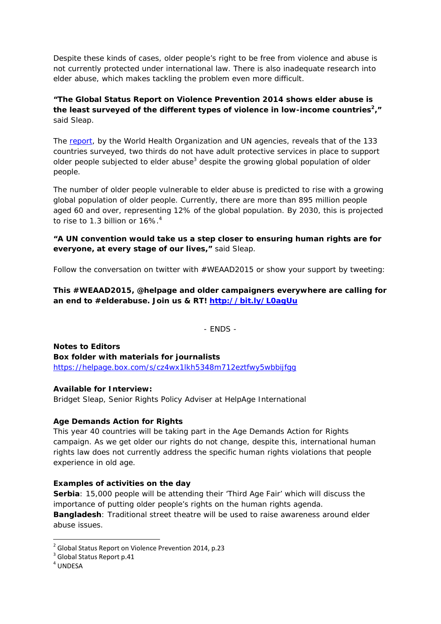Despite these kinds of cases, older people's right to be free from violence and abuse is not currently protected under international law. There is also inadequate research into elder abuse, which makes tackling the problem even more difficult.

**"The Global Status Report on Violence Prevention 2014 shows elder abuse is**  the least surveyed of the different types of violence in low-income countries<sup>2</sup>," said Sleap.

The report, by the World Health Organization and UN agencies, reveals that of the 133 countries surveyed, two thirds do not have adult protective services in place to support older people subjected to elder abuse<sup>3</sup> despite the growing global population of older people.

The number of older people vulnerable to elder abuse is predicted to rise with a growing global population of older people. Currently, there are more than 895 million people aged 60 and over, representing 12% of the global population. By 2030, this is projected to rise to 1.3 billion or  $16\%$ .<sup>4</sup>

## **"A UN convention would take us a step closer to ensuring human rights are for everyone, at every stage of our lives,"** said Sleap.

Follow the conversation on twitter with #WEAAD2015 or show your support by tweeting:

**This #WEAAD2015, @helpage and older campaigners everywhere are calling for an end to #elderabuse. Join us & RT! http://bit.ly/L0agUu**

- ENDS -

**Notes to Editors Box folder with materials for journalists**  https://helpage.box.com/s/cz4wx1lkh5348m712eztfwy5wbbijfgg

## **Available for Interview:**

Bridget Sleap, Senior Rights Policy Adviser at HelpAge International

## **Age Demands Action for Rights**

This year 40 countries will be taking part in the Age Demands Action for Rights campaign. As we get older our rights do not change, despite this, international human rights law does not currently address the specific human rights violations that people experience in old age.

## **Examples of activities on the day**

**Serbia**: 15,000 people will be attending their 'Third Age Fair' which will discuss the importance of putting older people's rights on the human rights agenda. **Bangladesh**: Traditional street theatre will be used to raise awareness around elder abuse issues.

<sup>&</sup>lt;sup>2</sup> Global Status Report on Violence Prevention 2014, p.23<br><sup>3</sup> Global Status Report p.41<br><sup>4</sup> UNDESA